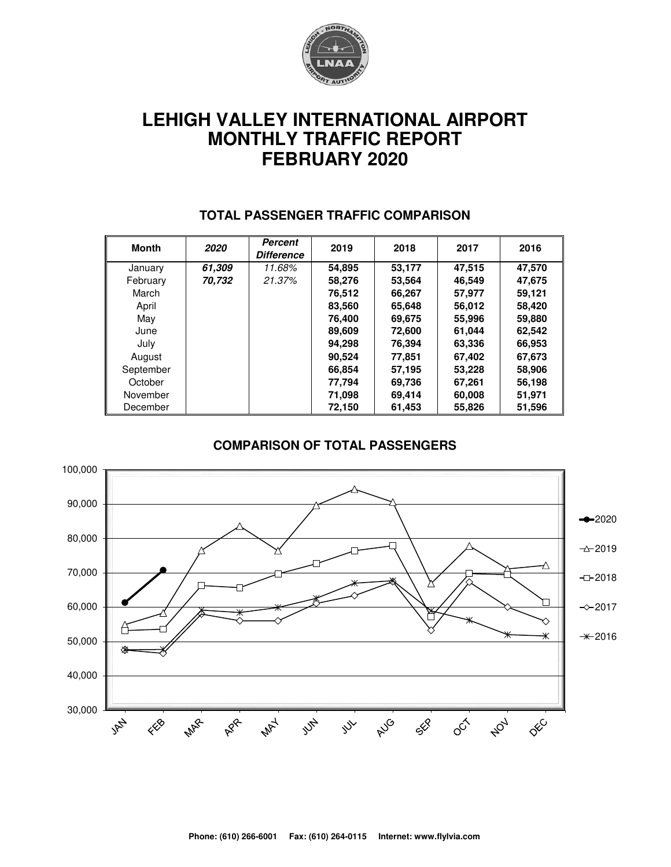

# **LEHIGH VALLEY INTERNATIONAL AIRPORT MONTHLY TRAFFIC REPORT FEBRUARY 2020**

| Month     | 2020   | <b>Percent</b><br><b>Difference</b> | 2019   | 2018   | 2017   | 2016   |
|-----------|--------|-------------------------------------|--------|--------|--------|--------|
| January   | 61,309 | 11.68%                              | 54.895 | 53,177 | 47.515 | 47,570 |
| February  | 70,732 | 21.37%                              | 58,276 | 53,564 | 46,549 | 47,675 |
| March     |        |                                     | 76,512 | 66,267 | 57.977 | 59,121 |
| April     |        |                                     | 83,560 | 65,648 | 56,012 | 58,420 |
| May       |        |                                     | 76.400 | 69,675 | 55,996 | 59,880 |
| June      |        |                                     | 89,609 | 72,600 | 61,044 | 62,542 |
| July      |        |                                     | 94,298 | 76,394 | 63,336 | 66,953 |
| August    |        |                                     | 90.524 | 77.851 | 67,402 | 67,673 |
| September |        |                                     | 66.854 | 57.195 | 53,228 | 58,906 |
| October   |        |                                     | 77,794 | 69,736 | 67,261 | 56,198 |
| November  |        |                                     | 71,098 | 69,414 | 60,008 | 51,971 |
| December  |        |                                     | 72,150 | 61,453 | 55,826 | 51,596 |

#### **TOTAL PASSENGER TRAFFIC COMPARISON**

#### **COMPARISON OF TOTAL PASSENGERS**

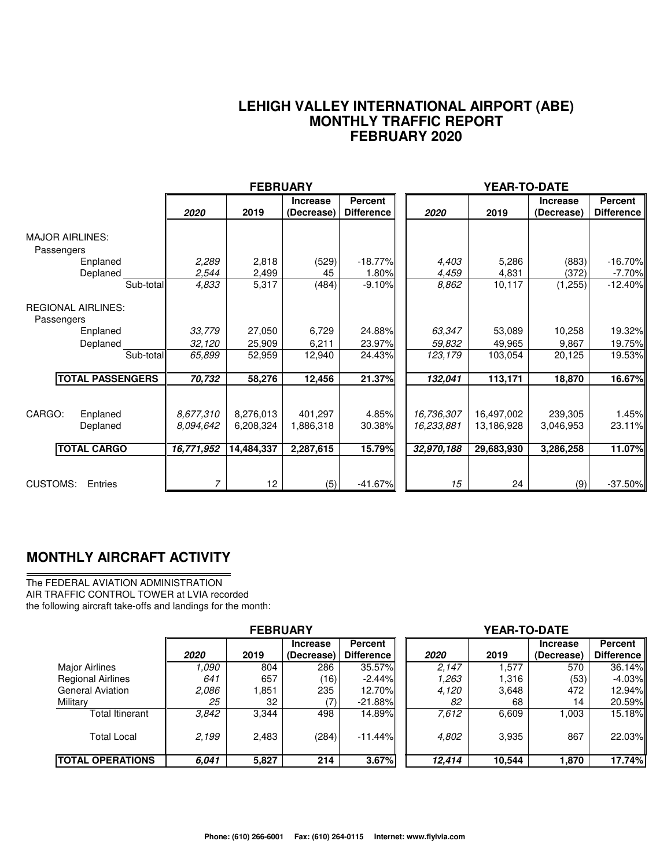#### **LEHIGH VALLEY INTERNATIONAL AIRPORT (ABE) MONTHLY TRAFFIC REPORT FEBRUARY 2020**

|                                         |                        | <b>FEBRUARY</b>        |                               |                                     |                          | YEAR-TO-DATE             |                               |                                     |
|-----------------------------------------|------------------------|------------------------|-------------------------------|-------------------------------------|--------------------------|--------------------------|-------------------------------|-------------------------------------|
|                                         | 2020                   | 2019                   | <b>Increase</b><br>(Decrease) | <b>Percent</b><br><b>Difference</b> | 2020                     | 2019                     | <b>Increase</b><br>(Decrease) | <b>Percent</b><br><b>Difference</b> |
| <b>MAJOR AIRLINES:</b><br>Passengers    |                        |                        |                               |                                     |                          |                          |                               |                                     |
| Enplaned                                | 2,289                  | 2,818                  | (529)                         | $-18.77%$                           | 4,403                    | 5,286                    | (883)                         | $-16.70%$                           |
| Deplaned                                | 2,544                  | 2,499                  | 45                            | 1.80%                               | 4,459                    | 4,831                    | (372)                         | $-7.70%$                            |
| Sub-total                               | 4,833                  | 5,317                  | (484)                         | $-9.10%$                            | 8,862                    | 10,117                   | (1,255)                       | $-12.40%$                           |
| <b>REGIONAL AIRLINES:</b><br>Passengers |                        |                        |                               |                                     |                          |                          |                               |                                     |
| Enplaned                                | 33,779                 | 27,050                 | 6,729                         | 24.88%                              | 63,347                   | 53,089                   | 10,258                        | 19.32%                              |
| Deplaned                                | 32,120                 | 25,909                 | 6,211                         | 23.97%                              | 59,832                   | 49,965                   | 9,867                         | 19.75%                              |
| Sub-total                               | 65,899                 | 52,959                 | 12,940                        | 24.43%                              | 123,179                  | 103,054                  | 20,125                        | 19.53%                              |
| <b>ITOTAL PASSENGERS</b>                | 70,732                 | 58,276                 | 12,456                        | 21.37%                              | 132,041                  | 113,171                  | 18.870                        | 16.67%                              |
| CARGO:<br>Enplaned<br>Deplaned          | 8,677,310<br>8.094.642 | 8,276,013<br>6,208,324 | 401.297<br>1,886,318          | 4.85%<br>30.38%                     | 16,736,307<br>16,233,881 | 16,497,002<br>13,186,928 | 239,305<br>3,046,953          | 1.45%<br>23.11%                     |
| <b>TOTAL CARGO</b>                      | 16,771,952             | 14,484,337             | 2,287,615                     | 15.79%                              | 32,970,188               | 29,683,930               | 3,286,258                     | 11.07%                              |
| <b>CUSTOMS:</b><br>Entries              | 7                      | 12                     | (5)                           | $-41.67%$                           | 15                       | 24                       | (9)                           | $-37.50%$                           |

### **MONTHLY AIRCRAFT ACTIVITY**

The FEDERAL AVIATION ADMINISTRATION AIR TRAFFIC CONTROL TOWER at LVIA recorded the following aircraft take-offs and landings for the month:

|                          | <b>FEBRUARY</b> |       |                               |                              |  | <b>YEAR-TO-DATE</b> |        |                               |                              |  |  |
|--------------------------|-----------------|-------|-------------------------------|------------------------------|--|---------------------|--------|-------------------------------|------------------------------|--|--|
|                          | 2020            | 2019  | <b>Increase</b><br>(Decrease) | <b>Percent</b><br>Difference |  | 2020                | 2019   | <b>Increase</b><br>(Decrease) | Percent<br><b>Difference</b> |  |  |
| <b>Major Airlines</b>    | 1.090           | 804   | 286                           | 35.57%                       |  | 2.147               | 1,577  | 570                           | 36.14%                       |  |  |
| <b>Regional Airlines</b> | 641             | 657   | (16)                          | $-2.44\%$                    |  | 1,263               | 1,316  | (53)                          | $-4.03\%$                    |  |  |
| <b>General Aviation</b>  | 2.086           | 1,851 | 235                           | 12.70%                       |  | 4,120               | 3,648  | 472                           | 12.94%                       |  |  |
| Military                 | 25              | 32    | (7)                           | $-21.88%$                    |  | 82                  | 68     | 14                            | 20.59%                       |  |  |
| Total Itinerant          | 3.842           | 3,344 | 498                           | 14.89%                       |  | 7.612               | 6,609  | 003                           | 15.18%                       |  |  |
| <b>Total Local</b>       | 2,199           | 2,483 | (284)                         | $-11.44\%$                   |  | 4,802               | 3,935  | 867                           | 22.03%                       |  |  |
| <b>ITOTAL OPERATIONS</b> | 6.041           | 5,827 | 214                           | 3.67%                        |  | 12,414              | 10.544 | 1,870                         | 17.74%                       |  |  |